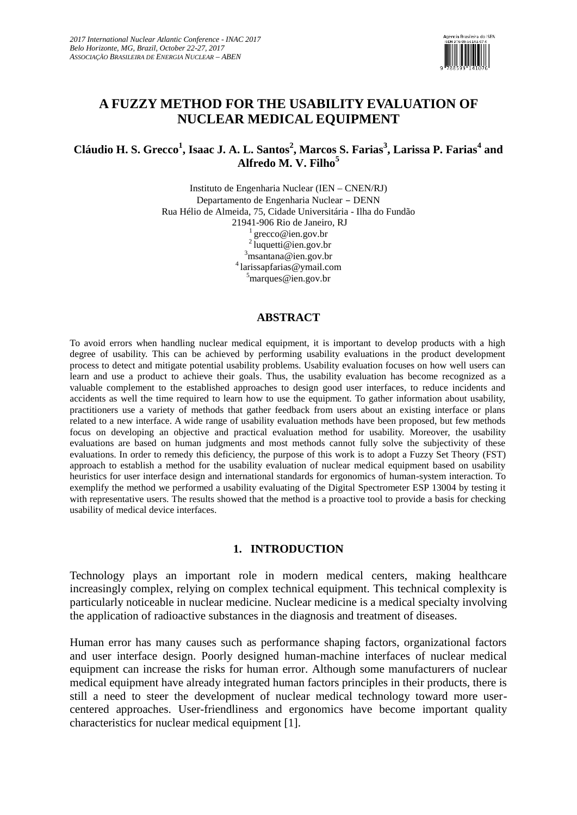

# **A FUZZY METHOD FOR THE USABILITY EVALUATION OF NUCLEAR MEDICAL EQUIPMENT**

# **Cláudio H. S. Grecco<sup>1</sup> , Isaac J. A. L. Santos<sup>2</sup> , Marcos S. Farias<sup>3</sup> , Larissa P. Farias<sup>4</sup> and Alfredo M. V. Filho<sup>5</sup>**

Instituto de Engenharia Nuclear (IEN – CNEN/RJ) Departamento de Engenharia Nuclear – DENN Rua Hélio de Almeida, 75, Cidade Universitária - Ilha do Fundão 21941-906 Rio de Janeiro, RJ [grecco@ien.gov](mailto:grecco@ien.gov).br 2 [luquetti@ien.gov](mailto:luquetti@ien.gov).br  $3$ [msantana@ien.gov](mailto:3msantana@ien.gov).br 4 [larissapfarias@ymail.com](mailto:larissapfarias@ymail.com)  $5$ [marques@ien.gov](mailto:5marques@ien.gov).br

## **ABSTRACT**

To avoid errors when handling nuclear medical equipment, it is important to develop products with a high degree of usability. This can be achieved by performing usability evaluations in the product development process to detect and mitigate potential usability problems. Usability evaluation focuses on how well users can learn and use a product to achieve their goals. Thus, the usability evaluation has become recognized as a valuable complement to the established approaches to design good user interfaces, to reduce incidents and accidents as well the time required to learn how to use the equipment. To gather information about usability, practitioners use a variety of methods that gather feedback from users about an existing interface or plans related to a new interface. A wide range of usability evaluation methods have been proposed, but few methods focus on developing an objective and practical evaluation method for usability. Moreover, the usability evaluations are based on human judgments and most methods cannot fully solve the subjectivity of these evaluations. In order to remedy this deficiency, the purpose of this work is to adopt a Fuzzy Set Theory (FST) approach to establish a method for the usability evaluation of nuclear medical equipment based on usability heuristics for user interface design and international standards for ergonomics of human-system interaction. To exemplify the method we performed a usability evaluating of the Digital Spectrometer ESP 13004 by testing it with representative users. The results showed that the method is a proactive tool to provide a basis for checking usability of medical device interfaces.

## **1. INTRODUCTION**

Technology plays an important role in modern medical centers, making healthcare increasingly complex, relying on complex technical equipment. This technical complexity is particularly noticeable in nuclear medicine. Nuclear medicine is a medical specialty involving the application of radioactive substances in the diagnosis and treatment of diseases.

Human error has many causes such as performance shaping factors, organizational factors and user interface design. Poorly designed human-machine interfaces of nuclear medical equipment can increase the risks for human error. Although some manufacturers of nuclear medical equipment have already integrated human factors principles in their products, there is still a need to steer the development of nuclear medical technology toward more user centered approaches. User-friendliness and ergonomics have become important quality characteristics for nuclear medical equipment [1].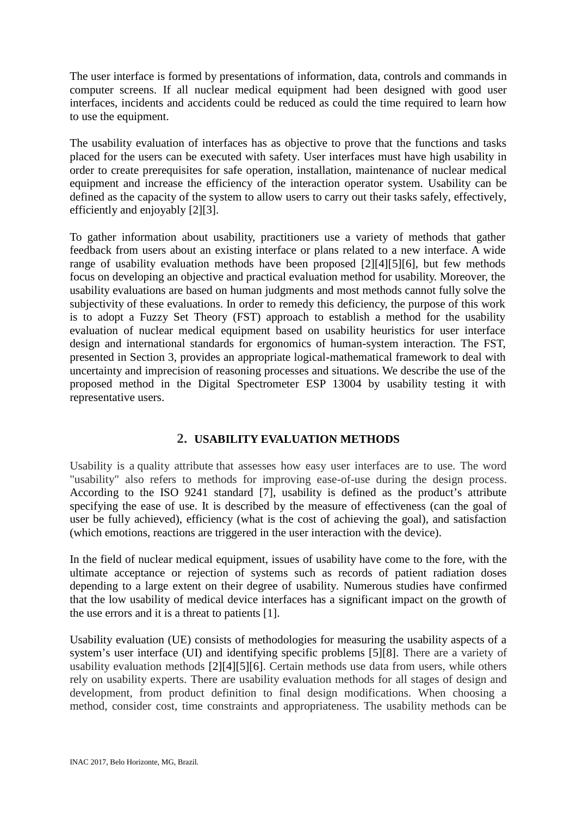The user interface is formed by presentations of information, data, controls and commands in computer screens. If all nuclear medical equipment had been designed with good user interfaces, incidents and accidents could be reduced as could the time required to learn how to use the equipment.

The usability evaluation of interfaces has as objective to prove that the functions and tasks placed for the users can be executed with safety. User interfaces must have high usability in order to create prerequisites for safe operation, installation, maintenance of nuclear medical equipment and increase the efficiency of the interaction operator system. Usability can be defined as the capacity of the system to allow users to carry out their tasks safely, effectively, efficiently and enjoyably [2][3].

To gather information about usability, practitioners use a variety of methods that gather feedback from users about an existing interface or plans related to a new interface. A wide range of usability evaluation methods have been proposed [2][4][5][6], but few methods focus on developing an objective and practical evaluation method for usability. Moreover, the usability evaluations are based on human judgments and most methods cannot fully solve the subjectivity of these evaluations. In order to remedy this deficiency, the purpose of this work is to adopt a Fuzzy Set Theory (FST) approach to establish a method for the usability evaluation of nuclear medical equipment based on usability heuristics for user interface design and international standards for ergonomics of human-system interaction. The FST, presented in Section 3, provides an appropriate logical-mathematical framework to deal with uncertainty and imprecision of reasoning processes and situations. We describe the use of the proposed method in the Digital Spectrometer ESP 13004 by usability testing it with representative users.

# **2. USABILITY EVALUATION METHODS**

Usability is a quality attribute that assesses how easy user interfaces are to use. The word "usability" also refers to methods for improving ease-of-use during the design process. According to the ISO 9241 standard [7], usability is defined as the product's attribute specifying the ease of use. It is described by the measure of effectiveness (can the goal of user be fully achieved), efficiency (what is the cost of achieving the goal), and satisfaction (which emotions, reactions are triggered in the user interaction with the device).

In the field of nuclear medical equipment, issues of usability have come to the fore, with the ultimate acceptance or rejection of systems such as records of patient radiation doses depending to a large extent on their degree of usability. Numerous studies have confirmed that the low usability of medical device interfaces has a significant impact on the growth of the use errors and it is a threat to patients [1].

Usability evaluation (UE) consists of methodologies for measuring the usability aspects of a system's user interface (UI) and identifying specific problems [5][8]. There are a variety of usability evaluation methods [2][4][5][6]. Certain methods use data from users, while others rely on usability experts. There are usability evaluation methods for all stages of design and development, from product definition to final design modifications. When choosing a method, consider cost, time constraints and appropriateness. The usability methods can be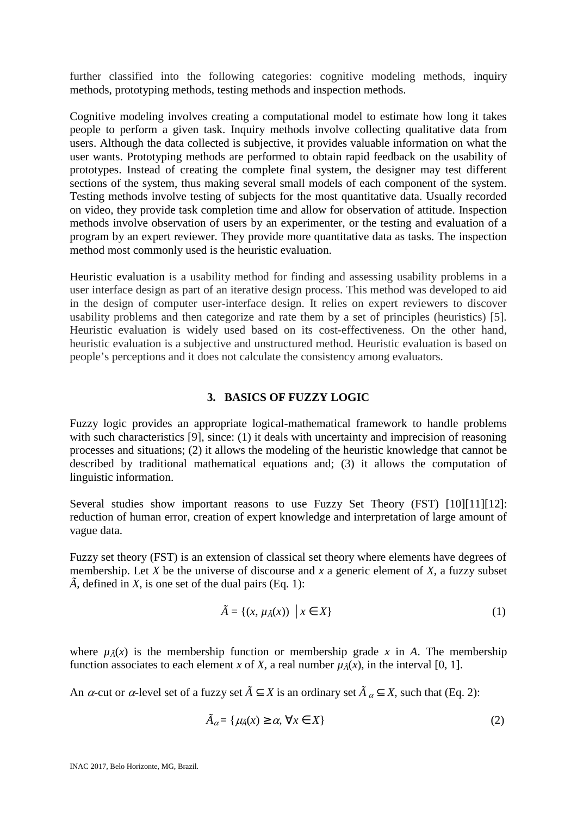further classified into the following categories: cognitive modeling methods, inquiry methods, prototyping methods, testing methods and inspection methods.

Cognitive modeling involves creating a computational model to estimate how long it takes people to perform a given task. Inquiry methods involve collecting qualitative data from users. Although the data collected is subjective, it provides valuable information on what the user wants. Prototyping methods are performed to obtain rapid feedback on the usability of prototypes. Instead of creating the complete final system, the designer may test different sections of the system, thus making several small models of each component of the system. Testing methods involve testing of subjects for the most quantitative data. Usually recorded on video, they provide task completion time and allow for observation of attitude. Inspection methods involve observation of users by an experimenter, or the testing and evaluation of a program by an expert reviewer. They provide more quantitative data as tasks. The inspection method most commonly used is the heuristic evaluation.

Heuristic evaluation is a usability method for finding and assessing usability problems in a user interface design as part of an iterative design process. This method was developed to aid in the design of computer user-interface design. It relies on expert reviewers to discover usability problems and then categorize and rate them by a set of principles (heuristics) [5]. Heuristic evaluation is widely used based on its cost-effectiveness. On the other hand, heuristic evaluation is a subjective and unstructured method. Heuristic evaluation is based on people's perceptions and it does not calculate the consistency among evaluators.

## **3. BASICS OF FUZZY LOGIC**

Fuzzy logic provides an appropriate logical-mathematical framework to handle problems with such characteristics [9], since: (1) it deals with uncertainty and imprecision of reasoning processes and situations; (2) it allows the modeling of the heuristic knowledge that cannot be described by traditional mathematical equations and; (3) it allows the computation of linguistic information.

Several studies show important reasons to use Fuzzy Set Theory (FST) [10][11][12]: reduction of human error, creation of expert knowledge and interpretation of large amount of vague data.

Fuzzy set theory (FST) is an extension of classical set theory where elements have degrees of membership. Let *X* be the universe of discourse and *x* a generic element of *X*, a fuzzy subset  $\tilde{A}$ , defined in  $X$ , is one set of the dual pairs (Eq. 1):

$$
\tilde{A} = \{ (x, \mu_{\tilde{A}}(x)) \mid x \in X \}
$$
 (1)

where  $\mu_{\tilde{A}}(x)$  is the membership function or membership grade x in A. The membership function associates to each element *x* of *X*, a real number  $\mu_{\tilde{A}}(x)$ , in the interval [0, 1].

An  $\alpha$ -cut or  $\alpha$ -level set of a fuzzy set  $\tilde{A} \subseteq X$  is an ordinary set  $\tilde{A} \subseteq X$ , such that (Eq. 2):

$$
\tilde{A}_{\alpha} = \{ \mu_{\tilde{A}}(x) \ge \alpha, \,\forall x \in X \}
$$
\n<sup>(2)</sup>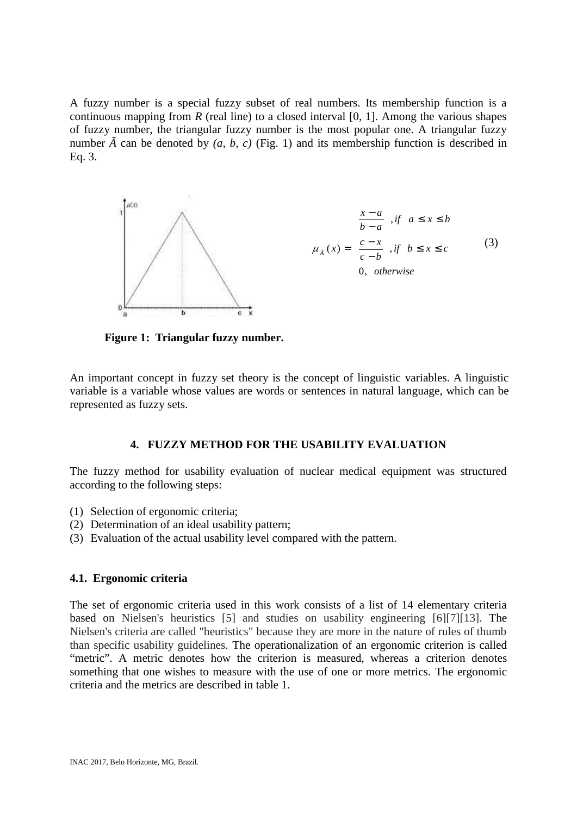A fuzzy number is a special fuzzy subset of real numbers. Its membership function is a continuous mapping from  $R$  (real line) to a closed interval [0, 1]. Among the various shapes of fuzzy number, the triangular fuzzy number is the most popular one. A triangular fuzzy number  $\tilde{A}$  can be denoted by  $(a, b, c)$  (Fig. 1) and its membership function is described in Eq. 3.



**Figure 1: Triangular fuzzy number.**

An important concept in fuzzy set theory is the concept of linguistic variables. A linguistic variable is a variable whose values are words or sentences in natural language, which can be represented as fuzzy sets.

# **4. FUZZY METHOD FOR THE USABILITY EVALUATION**

The fuzzy method for usability evaluation of nuclear medical equipment was structured according to the following steps:

- (1) Selection of ergonomic criteria;
- (2) Determination of an ideal usability pattern;
- (3) Evaluation of the actual usability level compared with the pattern.

# **4.1. Ergonomic criteria**

The set of ergonomic criteria used in this work consists of a list of 14 elementary criteria based on Nielsen's heuristics [5] and studies on usability engineering [6][7][13]. The Nielsen's criteria are called "heuristics" because they are more in the nature of rules of thumb than specific usability guidelines. The operationalization of an ergonomic criterion is called "metric". A metric denotes how the criterion is measured, whereas a criterion denotes something that one wishes to measure with the use of one or more metrics. The ergonomic criteria and the metrics are described in table 1.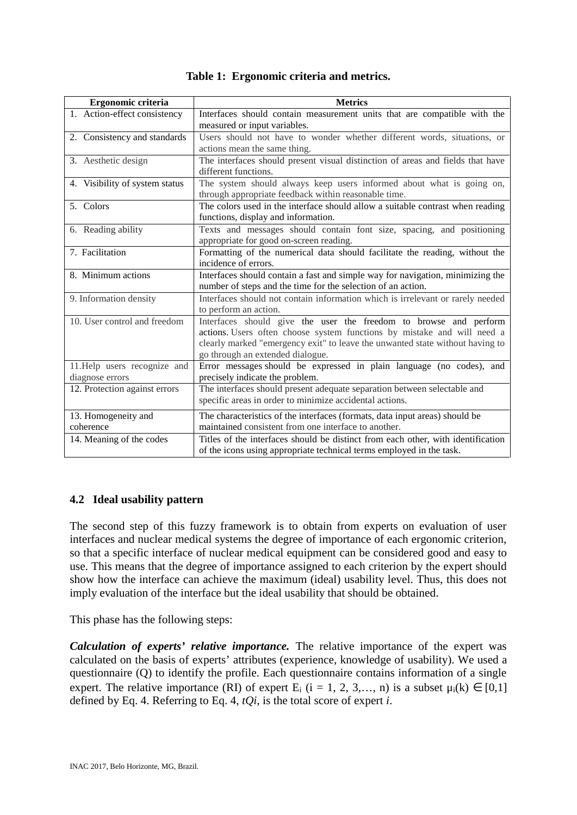|  | Table 1: Ergonomic criteria and metrics. |  |
|--|------------------------------------------|--|
|--|------------------------------------------|--|

| Ergonomic criteria             | <b>Metrics</b>                                                                   |
|--------------------------------|----------------------------------------------------------------------------------|
| 1. Action-effect consistency   | Interfaces should contain measurement units that are compatible with the         |
|                                | measured or input variables.                                                     |
| 2. Consistency and standards   | Users should not have to wonder whether different words, situations, or          |
|                                | actions mean the same thing.                                                     |
| 3. Aesthetic design            | The interfaces should present visual distinction of areas and fields that have   |
|                                | different functions.                                                             |
| 4. Visibility of system status | The system should always keep users informed about what is going on,             |
|                                | through appropriate feedback within reasonable time.                             |
| 5. Colors                      | The colors used in the interface should allow a suitable contrast when reading   |
|                                | functions, display and information.                                              |
| 6. Reading ability             | Texts and messages should contain font size, spacing, and positioning            |
|                                | appropriate for good on-screen reading.                                          |
| 7. Facilitation                | Formatting of the numerical data should facilitate the reading, without the      |
|                                | incidence of errors.                                                             |
| 8. Minimum actions             | Interfaces should contain a fast and simple way for navigation, minimizing the   |
|                                | number of steps and the time for the selection of an action.                     |
| 9. Information density         | Interfaces should not contain information which is irrelevant or rarely needed   |
|                                | to perform an action.                                                            |
| 10. User control and freedom   | Interfaces should give the user the freedom to browse and perform                |
|                                | actions. Users often choose system functions by mistake and will need a          |
|                                | clearly marked "emergency exit" to leave the unwanted state without having to    |
|                                | go through an extended dialogue.                                                 |
| 11. Help users recognize and   | Error messages should be expressed in plain language (no codes), and             |
| diagnose errors                | precisely indicate the problem.                                                  |
| 12. Protection against errors  | The interfaces should present adequate separation between selectable and         |
|                                | specific areas in order to minimize accidental actions.                          |
| 13. Homogeneity and            | The characteristics of the interfaces (formats, data input areas) should be      |
| coherence                      | maintained consistent from one interface to another.                             |
| 14. Meaning of the codes       | Titles of the interfaces should be distinct from each other, with identification |
|                                | of the icons using appropriate technical terms employed in the task.             |

# **4.2 Ideal usability pattern**

The second step of this fuzzy framework is to obtain from experts on evaluation of user interfaces and nuclear medical systems the degree of importance of each ergonomic criterion, so that a specific interface of nuclear medical equipment can be considered good and easy to use. This means that the degree of importance assigned to each criterion by the expert should show how the interface can achieve the maximum (ideal) usability level. Thus, this does not imply evaluation of the interface but the ideal usability that should be obtained.

This phase has the following steps:

*Calculation of experts' relative importance.* The relative importance of the expert was calculated on the basis of experts' attributes (experience, knowledge of usability). We used a questionnaire (Q) to identify the profile. Each questionnaire contains information of a single expert. The relative importance (RI) of expert  $E_i$  (i = 1, 2, 3,..., n) is a subset  $\mu_i(k) \in [0,1]$ defined by Eq. 4. Referring to Eq. 4, *tQi*, is the total score of expert *i*.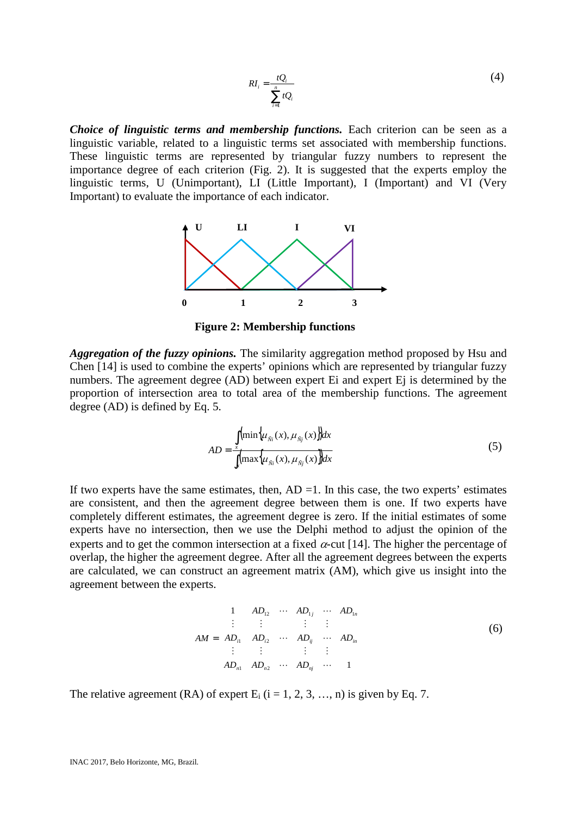$$
RI_i = \frac{tQ_i}{\sum_{i=1}^{n} tQ_i}
$$
 (4)

*Choice of linguistic terms and membership functions.* Each criterion can be seen as a linguistic variable, related to a linguistic terms set associated with membership functions. These linguistic terms are represented by triangular fuzzy numbers to represent the importance degree of each criterion (Fig. 2). It is suggested that the experts employ the linguistic terms, U (Unimportant), LI (Little Important), I (Important) and VI (Very Important) to evaluate the importance of each indicator.



**Figure 2: Membership functions**

*Aggregation of the fuzzy opinions.* The similarity aggregation method proposed by Hsu and Chen [14] is used to combine the experts' opinions which are represented by triangular fuzzy numbers. The agreement degree (AD) between expert Ei and expert Ei is determined by the proportion of intersection area to total area of the membership functions. The agreement degree (AD) is defined by Eq. 5.

$$
AD = \frac{\int_{x} (\min\{\mu_{\bar{N}_i}(x), \mu_{\bar{N}_j}(x)\} dx}{\int_{x} (\max\{\mu_{\bar{N}_i}(x), \mu_{\bar{N}_j}(x)\} dx}
$$
(5)

If two experts have the same estimates, then,  $AD = 1$ . In this case, the two experts' estimates are consistent, and then the agreement degree between them is one. If two experts have completely different estimates, the agreement degree is zero. If the initial estimates of some experts have no intersection, then we use the Delphi method to adjust the opinion of the experts and to get the common intersection at a fixed  $\alpha$ -cut [14]. The higher the percentage of overlap, the higher the agreement degree. After all the agreement degrees between the experts are calculated, we can construct an agreement matrix (AM), which give us insight into the agreement between the experts.

$$
AM = \begin{bmatrix} 1 & AD_{12} & \cdots & AD_{1j} & \cdots & AD_{1n} \\ \vdots & \vdots & & \vdots & \vdots \\ AD_{i1} & AD_{i2} & \cdots & AD_{ij} & \cdots & AD_{in} \\ \vdots & \vdots & & \vdots & \vdots \\ AD_{n1} & AD_{n2} & \cdots & AD_{nj} & \cdots & 1 \end{bmatrix}
$$
 (6)

The relative agreement (RA) of expert  $E_i$  (i = 1, 2, 3, ..., n) is given by Eq. 7.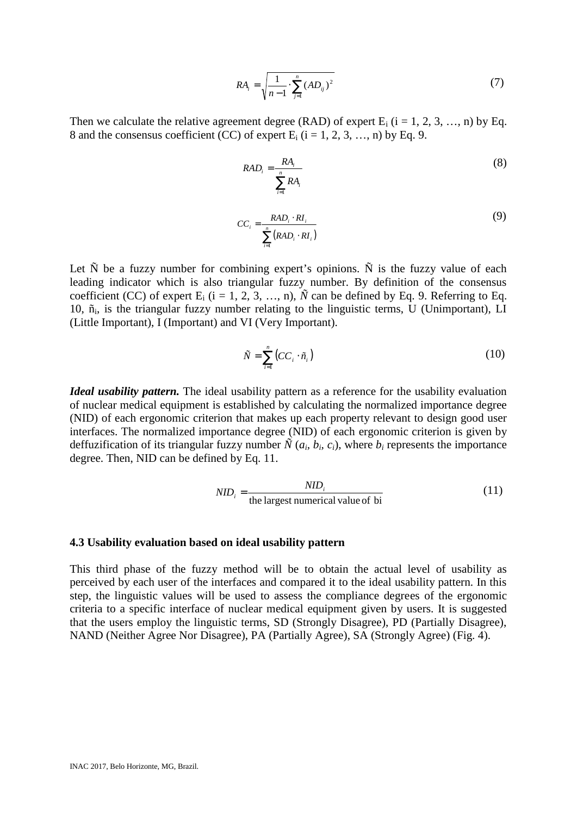$$
RA_{i} = \sqrt{\frac{1}{n-1} \cdot \sum_{j=1}^{n} (AD_{ij})^{2}}
$$
 (7)

Then we calculate the relative agreement degree (RAD) of expert  $E_i$  (i = 1, 2, 3, ..., n) by Eq. 8 and the consensus coefficient (CC) of expert E<sub>i</sub> ( $i = 1, 2, 3, \ldots$  n) by Eq. 9.

$$
RAD_i = \frac{RA_i}{\sum_{i=1}^{n} RA_i}
$$
 (8)

$$
CC_i = \frac{RAD_i \cdot RI_i}{\sum_{i=1}^{n} (RAD_i \cdot RI_i)}
$$
(9)

Let  $\tilde{N}$  be a fuzzy number for combining expert's opinions.  $\tilde{N}$  is the fuzzy value of each leading indicator which is also triangular fuzzy number. By definition of the consensus coefficient (CC) of expert  $E_i$  (i = 1, 2, 3, …, n),  $\tilde{N}$  can be defined by Eq. 9. Referring to Eq. 10,  $\tilde{n}$ , is the triangular fuzzy number relating to the linguistic terms, U (Unimportant), LI (Little Important), I (Important) and VI (Very Important).

$$
\tilde{N} = \sum_{i=1}^{n} \left( CC_i \cdot \tilde{n}_i \right) \tag{10}
$$

*Ideal usability pattern.* The ideal usability pattern as a reference for the usability evaluation of nuclear medical equipment is established by calculating the normalized importance degree (NID) of each ergonomic criterion that makes up each property relevant to design good user interfaces. The normalized importance degree (NID) of each ergonomic criterion is given by deffuzification of its triangular fuzzy number  $\tilde{N}(a_i, b_i, c_i)$ , where  $b_i$  represents the importance degree. Then, NID can be defined by Eq. 11.

$$
NID_i = \frac{NID_i}{\text{the largest numerical value of bi}}
$$
 (11)

#### **4.3 Usability evaluation based on ideal usability pattern**

This third phase of the fuzzy method will be to obtain the actual level of usability as perceived by each user of the interfaces and compared it to the ideal usability pattern. In this step, the linguistic values will be used to assess the compliance degrees of the ergonomic criteria to a specific interface of nuclear medical equipment given by users. It is suggested that the users employ the linguistic terms, SD (Strongly Disagree), PD (Partially Disagree), NAND (Neither Agree Nor Disagree), PA (Partially Agree), SA (Strongly Agree) (Fig. 4).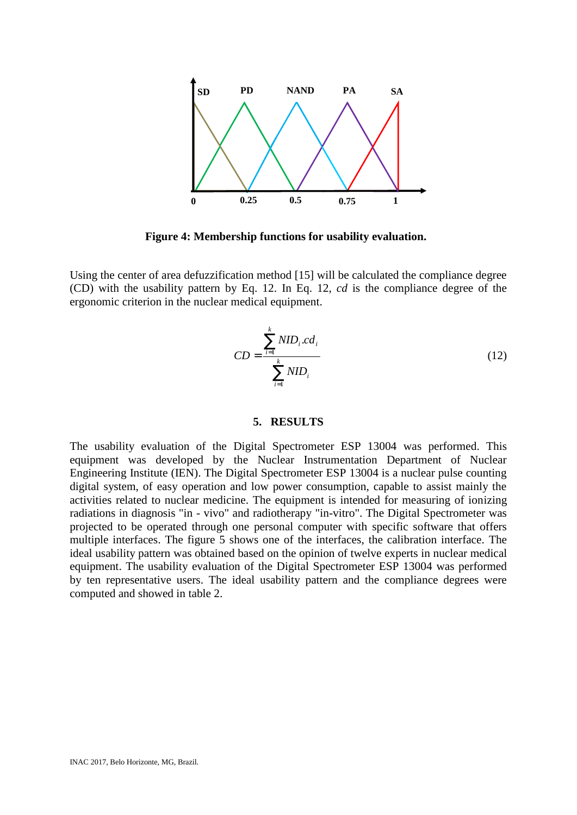

**Figure 4: Membership functions for usability evaluation.**

Using the center of area defuzzification method [15] will be calculated the compliance degree (CD) with the usability pattern by Eq. 12. In Eq. 12, *cd* is the compliance degree of the ergonomic criterion in the nuclear medical equipment.

$$
CD = \frac{\sum_{i=1}^{k} NID_i \cdot cd_i}{\sum_{i=1}^{k} NID_i}
$$
 (12)

## **5. RESULTS**

The usability evaluation of the Digital Spectrometer ESP 13004 was performed. This equipment was developed by the Nuclear Instrumentation Department of Nuclear Engineering Institute (IEN). The Digital Spectrometer ESP 13004 is a nuclear pulse counting digital system, of easy operation and low power consumption, capable to assist mainly the activities related to nuclear medicine. The equipment is intended for measuring of ionizing radiations in diagnosis "in - vivo" and radiotherapy "in-vitro". The Digital Spectrometer was projected to be operated through one personal computer with specific software that offers multiple interfaces. The figure 5 shows one of the interfaces, the calibration interface. The ideal usability pattern was obtained based on the opinion of twelve experts in nuclear medical equipment. The usability evaluation of the Digital Spectrometer ESP 13004 was performed by ten representative users. The ideal usability pattern and the compliance degrees were computed and showed in table 2.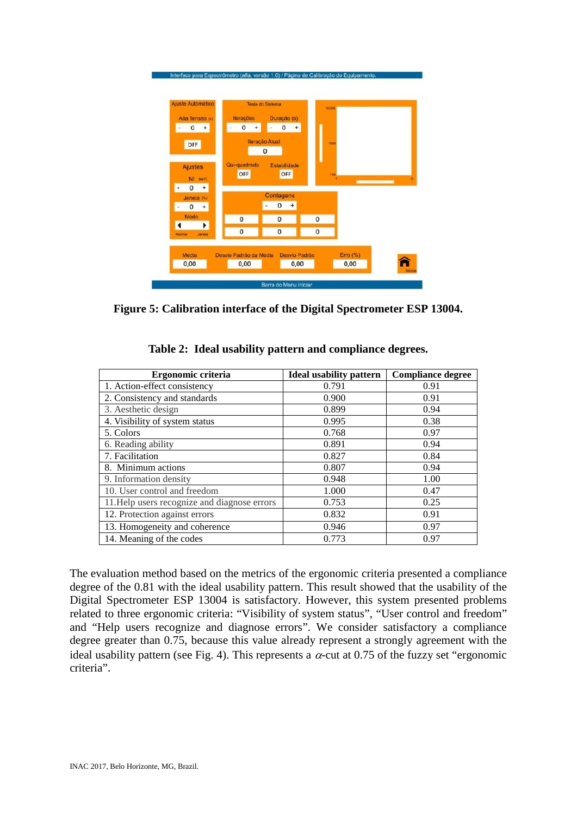

**Figure 5: Calibration interface of the Digital Spectrometer ESP 13004.**

| Ergonomic criteria                           | <b>Ideal usability pattern</b> | <b>Compliance degree</b> |
|----------------------------------------------|--------------------------------|--------------------------|
| 1. Action-effect consistency                 | 0.791                          | 0.91                     |
| 2. Consistency and standards                 | 0.900                          | 0.91                     |
| 3. Aesthetic design                          | 0.899                          | 0.94                     |
| 4. Visibility of system status               | 0.995                          | 0.38                     |
| 5. Colors                                    | 0.768                          | 0.97                     |
| 6. Reading ability                           | 0.891                          | 0.94                     |
| 7. Facilitation                              | 0.827                          | 0.84                     |
| 8. Minimum actions                           | 0.807                          | 0.94                     |
| 9. Information density                       | 0.948                          | 1.00                     |
| 10. User control and freedom                 | 1.000                          | 0.47                     |
| 11. Help users recognize and diagnose errors | 0.753                          | 0.25                     |
| 12. Protection against errors                | 0.832                          | 0.91                     |
| 13. Homogeneity and coherence                | 0.946                          | 0.97                     |
| 14. Meaning of the codes                     | 0.773                          | 0.97                     |

**Table 2: Ideal usability pattern and compliance degrees.**

The evaluation method based on the metrics of the ergonomic criteria presented a compliance degree of the 0.81 with the ideal usability pattern. This result showed that the usability of the Digital Spectrometer ESP 13004 is satisfactory. However, this system presented problems related to three ergonomic criteria: "Visibility of system status", "User control and freedom" and "Help users recognize and diagnose errors". We consider satisfactory a compliance degree greater than 0.75, because this value already represent a strongly agreement with the ideal usability pattern (see Fig. 4). This represents a  $\alpha$ -cut at 0.75 of the fuzzy set "ergonomic criteria".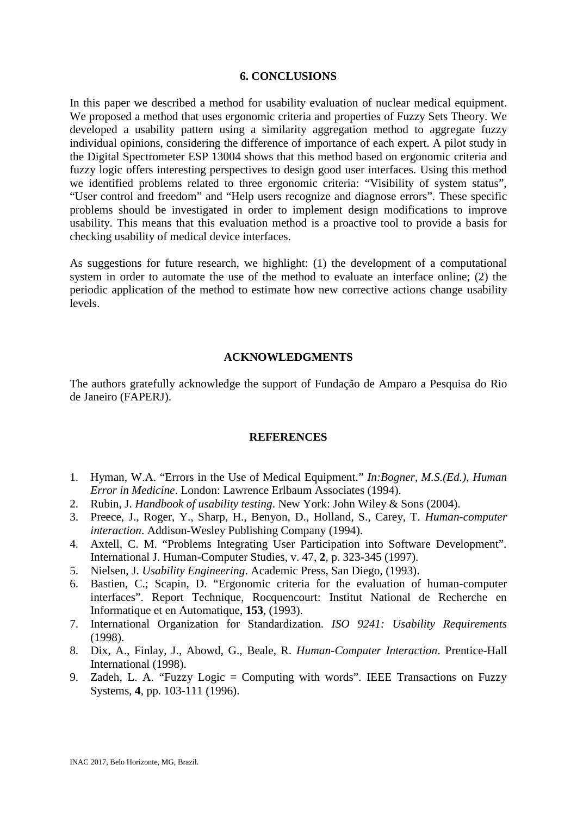## **6. CONCLUSIONS**

In this paper we described a method for usability evaluation of nuclear medical equipment. We proposed a method that uses ergonomic criteria and properties of Fuzzy Sets Theory. We developed a usability pattern using a similarity aggregation method to aggregate fuzzy individual opinions, considering the difference of importance of each expert. A pilot study in the Digital Spectrometer ESP 13004 shows that this method based on ergonomic criteria and fuzzy logic offers interesting perspectives to design good user interfaces. Using this method we identified problems related to three ergonomic criteria: "Visibility of system status", "User control and freedom" and "Help users recognize and diagnose errors". These specific problems should be investigated in order to implement design modifications to improve usability. This means that this evaluation method is a proactive tool to provide a basis for checking usability of medical device interfaces.

As suggestions for future research, we highlight: (1) the development of a computational system in order to automate the use of the method to evaluate an interface online; (2) the periodic application of the method to estimate how new corrective actions change usability levels.

#### **ACKNOWLEDGMENTS**

The authors gratefully acknowledge the support of Fundação de Amparo a Pesquisa do Rio de Janeiro (FAPERJ).

#### **REFERENCES**

- 1. Hyman, W.A. "Errors in the Use of Medical Equipment." *In:Bogner, M.S.(Ed.), Human Error in Medicine*. London: Lawrence Erlbaum Associates (1994).
- 2. Rubin, J. *Handbook of usability testing*. New York: John Wiley & Sons (2004).
- 3. Preece, J., Roger, Y., Sharp, H., Benyon, D., Holland, S., Carey, T. *Human-computer interaction*. Addison-Wesley Publishing Company (1994).
- 4. Axtell, C. M. "Problems Integrating User Participation into Software Development". International J. Human-Computer Studies, v. 47, **2**, p. 323-345 (1997).
- 5. Nielsen, J. *Usability Engineering*. Academic Press, San Diego, (1993).
- 6. Bastien, C.; Scapin, D. "Ergonomic criteria for the evaluation of human-computer interfaces". Report Technique, Rocquencourt: Institut National de Recherche en Informatique et en Automatique, **153**, (1993).
- 7. International Organization for Standardization. *ISO 9241: Usability Requirements* (1998).
- 8. Dix, A., Finlay, J., Abowd, G., Beale, R. *Human-Computer Interaction*. Prentice-Hall International (1998).
- 9. Zadeh, L. A. "Fuzzy Logic = Computing with words". IEEE Transactions on Fuzzy Systems, **4**, pp. 103-111 (1996).